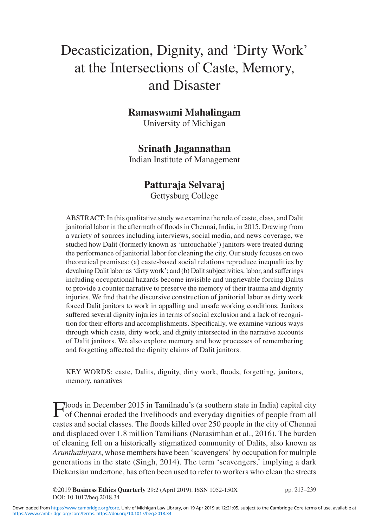# Decasticization, Dignity, and 'Dirty Work' at the Intersections of Caste, Memory, and Disaster

# **Ramaswami Mahalingam**

University of Michigan

# **Srinath Jagannathan**

Indian Institute of Management

# **Patturaja Selvaraj**

Gettysburg College

ABSTRACT: In this qualitative study we examine the role of caste, class, and Dalit janitorial labor in the aftermath of floods in Chennai, India, in 2015. Drawing from a variety of sources including interviews, social media, and news coverage, we studied how Dalit (formerly known as 'untouchable') janitors were treated during the performance of janitorial labor for cleaning the city. Our study focuses on two theoretical premises: (a) caste-based social relations reproduce inequalities by devaluing Dalit labor as 'dirty work'; and (b) Dalit subjectivities, labor, and sufferings including occupational hazards become invisible and ungrievable forcing Dalits to provide a counter narrative to preserve the memory of their trauma and dignity injuries. We find that the discursive construction of janitorial labor as dirty work forced Dalit janitors to work in appalling and unsafe working conditions. Janitors suffered several dignity injuries in terms of social exclusion and a lack of recognition for their efforts and accomplishments. Specifically, we examine various ways through which caste, dirty work, and dignity intersected in the narrative accounts of Dalit janitors. We also explore memory and how processes of remembering and forgetting affected the dignity claims of Dalit janitors.

KEY WORDS: caste, Dalits, dignity, dirty work, floods, forgetting, janitors, memory, narratives

Floods in December 2015 in Tamilnadu's (a southern state in India) capital city of Chennai eroded the livelihoods and everyday dignities of people from all castes and social classes. The floods killed over 250 people in the city of Chennai and displaced over 1.8 million Tamilians (Narasimhan et al., 2016). The burden of cleaning fell on a historically stigmatized community of Dalits, also known as *Arunthathiyars*, whose members have been 'scavengers' by occupation for multiple generations in the state (Singh, 2014). The term 'scavengers,' implying a dark Dickensian undertone, has often been used to refer to workers who clean the streets

©2019 **Business Ethics Quarterly** 29:2 (April 2019). ISSN 1052-150X DOI: 10.1017/beq.2018.34 pp. 213–239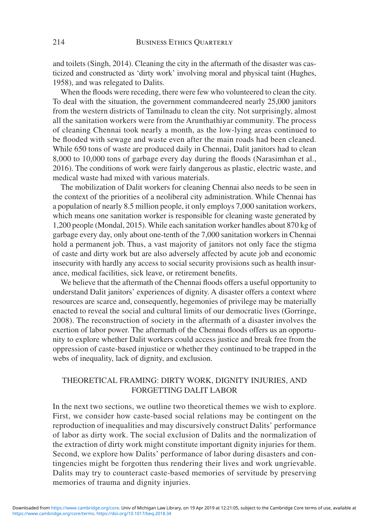and toilets (Singh, 2014). Cleaning the city in the aftermath of the disaster was casticized and constructed as 'dirty work' involving moral and physical taint (Hughes, 1958), and was relegated to Dalits.

When the floods were receding, there were few who volunteered to clean the city. To deal with the situation, the government commandeered nearly 25,000 janitors from the western districts of Tamilnadu to clean the city. Not surprisingly, almost all the sanitation workers were from the Arunthathiyar community. The process of cleaning Chennai took nearly a month, as the low-lying areas continued to be flooded with sewage and waste even after the main roads had been cleaned. While 650 tons of waste are produced daily in Chennai, Dalit janitors had to clean 8,000 to 10,000 tons of garbage every day during the floods (Narasimhan et al., 2016). The conditions of work were fairly dangerous as plastic, electric waste, and medical waste had mixed with various materials.

The mobilization of Dalit workers for cleaning Chennai also needs to be seen in the context of the priorities of a neoliberal city administration. While Chennai has a population of nearly 8.5 million people, it only employs 7,000 sanitation workers, which means one sanitation worker is responsible for cleaning waste generated by 1,200 people (Mondal, 2015). While each sanitation worker handles about 870 kg of garbage every day, only about one-tenth of the 7,000 sanitation workers in Chennai hold a permanent job. Thus, a vast majority of janitors not only face the stigma of caste and dirty work but are also adversely affected by acute job and economic insecurity with hardly any access to social security provisions such as health insurance, medical facilities, sick leave, or retirement benefits.

We believe that the aftermath of the Chennai floods offers a useful opportunity to understand Dalit janitors' experiences of dignity. A disaster offers a context where resources are scarce and, consequently, hegemonies of privilege may be materially enacted to reveal the social and cultural limits of our democratic lives (Gorringe, 2008). The reconstruction of society in the aftermath of a disaster involves the exertion of labor power. The aftermath of the Chennai floods offers us an opportunity to explore whether Dalit workers could access justice and break free from the oppression of caste-based injustice or whether they continued to be trapped in the webs of inequality, lack of dignity, and exclusion.

# THEORETICAL FRAMING: DIRTY WORK, DIGNITY INJURIES, AND FORGETTING DALIT LABOR

In the next two sections, we outline two theoretical themes we wish to explore. First, we consider how caste-based social relations may be contingent on the reproduction of inequalities and may discursively construct Dalits' performance of labor as dirty work. The social exclusion of Dalits and the normalization of the extraction of dirty work might constitute important dignity injuries for them. Second, we explore how Dalits' performance of labor during disasters and contingencies might be forgotten thus rendering their lives and work ungrievable. Dalits may try to counteract caste-based memories of servitude by preserving memories of trauma and dignity injuries.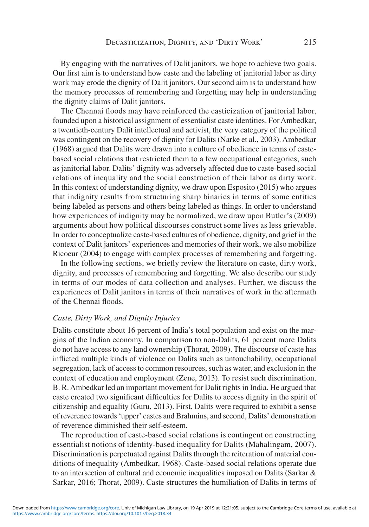By engaging with the narratives of Dalit janitors, we hope to achieve two goals. Our first aim is to understand how caste and the labeling of janitorial labor as dirty work may erode the dignity of Dalit janitors. Our second aim is to understand how the memory processes of remembering and forgetting may help in understanding the dignity claims of Dalit janitors.

The Chennai floods may have reinforced the casticization of janitorial labor, founded upon a historical assignment of essentialist caste identities. For Ambedkar, a twentieth-century Dalit intellectual and activist, the very category of the political was contingent on the recovery of dignity for Dalits (Narke et al., 2003). Ambedkar (1968) argued that Dalits were drawn into a culture of obedience in terms of castebased social relations that restricted them to a few occupational categories, such as janitorial labor. Dalits' dignity was adversely affected due to caste-based social relations of inequality and the social construction of their labor as dirty work. In this context of understanding dignity, we draw upon Esposito (2015) who argues that indignity results from structuring sharp binaries in terms of some entities being labeled as persons and others being labeled as things. In order to understand how experiences of indignity may be normalized, we draw upon Butler's (2009) arguments about how political discourses construct some lives as less grievable. In order to conceptualize caste-based cultures of obedience, dignity, and grief in the context of Dalit janitors' experiences and memories of their work, we also mobilize Ricoeur (2004) to engage with complex processes of remembering and forgetting.

In the following sections, we briefly review the literature on caste, dirty work, dignity, and processes of remembering and forgetting. We also describe our study in terms of our modes of data collection and analyses. Further, we discuss the experiences of Dalit janitors in terms of their narratives of work in the aftermath of the Chennai floods.

# *Caste, Dirty Work, and Dignity Injuries*

Dalits constitute about 16 percent of India's total population and exist on the margins of the Indian economy. In comparison to non-Dalits, 61 percent more Dalits do not have access to any land ownership (Thorat, 2009). The discourse of caste has inflicted multiple kinds of violence on Dalits such as untouchability, occupational segregation, lack of access to common resources, such as water, and exclusion in the context of education and employment (Zene, 2013). To resist such discrimination, B. R. Ambedkar led an important movement for Dalit rights in India. He argued that caste created two significant difficulties for Dalits to access dignity in the spirit of citizenship and equality (Guru, 2013). First, Dalits were required to exhibit a sense of reverence towards 'upper' castes and Brahmins, and second, Dalits' demonstration of reverence diminished their self-esteem.

The reproduction of caste-based social relations is contingent on constructing essentialist notions of identity-based inequality for Dalits (Mahalingam, 2007). Discrimination is perpetuated against Dalits through the reiteration of material conditions of inequality (Ambedkar, 1968). Caste-based social relations operate due to an intersection of cultural and economic inequalities imposed on Dalits (Sarkar & Sarkar, 2016; Thorat, 2009). Caste structures the humiliation of Dalits in terms of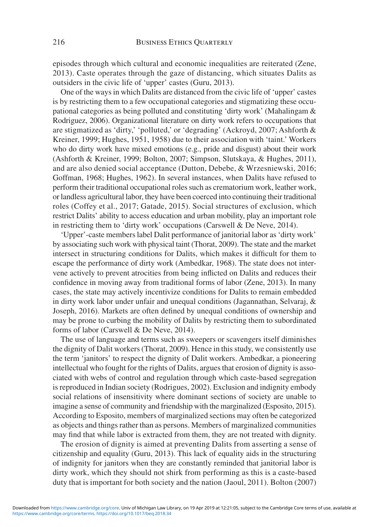episodes through which cultural and economic inequalities are reiterated (Zene, 2013). Caste operates through the gaze of distancing, which situates Dalits as outsiders in the civic life of 'upper' castes (Guru, 2013).

One of the ways in which Dalits are distanced from the civic life of 'upper' castes is by restricting them to a few occupational categories and stigmatizing these occupational categories as being polluted and constituting 'dirty work' (Mahalingam & Rodriguez, 2006). Organizational literature on dirty work refers to occupations that are stigmatized as 'dirty,' 'polluted,' or 'degrading' (Ackroyd, 2007; Ashforth & Kreiner, 1999; Hughes, 1951, 1958) due to their association with 'taint.' Workers who do dirty work have mixed emotions (e.g., pride and disgust) about their work (Ashforth & Kreiner, 1999; Bolton, 2007; Simpson, Slutskaya, & Hughes, 2011), and are also denied social acceptance (Dutton, Debebe, & Wrzesniewski, 2016; Goffman, 1968; Hughes, 1962). In several instances, when Dalits have refused to perform their traditional occupational roles such as crematorium work, leather work, or landless agricultural labor, they have been coerced into continuing their traditional roles (Coffey et al., 2017; Gatade, 2015). Social structures of exclusion, which restrict Dalits' ability to access education and urban mobility, play an important role in restricting them to 'dirty work' occupations (Carswell & De Neve, 2014).

'Upper'-caste members label Dalit performance of janitorial labor as 'dirty work' by associating such work with physical taint (Thorat, 2009). The state and the market intersect in structuring conditions for Dalits, which makes it difficult for them to escape the performance of dirty work (Ambedkar, 1968). The state does not intervene actively to prevent atrocities from being inflicted on Dalits and reduces their confidence in moving away from traditional forms of labor (Zene, 2013). In many cases, the state may actively incentivize conditions for Dalits to remain embedded in dirty work labor under unfair and unequal conditions (Jagannathan, Selvaraj, & Joseph, 2016). Markets are often defined by unequal conditions of ownership and may be prone to curbing the mobility of Dalits by restricting them to subordinated forms of labor (Carswell & De Neve, 2014).

The use of language and terms such as sweepers or scavengers itself diminishes the dignity of Dalit workers (Thorat, 2009). Hence in this study, we consistently use the term 'janitors' to respect the dignity of Dalit workers. Ambedkar, a pioneering intellectual who fought for the rights of Dalits, argues that erosion of dignity is associated with webs of control and regulation through which caste-based segregation is reproduced in Indian society (Rodrigues, 2002). Exclusion and indignity embody social relations of insensitivity where dominant sections of society are unable to imagine a sense of community and friendship with the marginalized (Esposito, 2015). According to Esposito, members of marginalized sections may often be categorized as objects and things rather than as persons. Members of marginalized communities may find that while labor is extracted from them, they are not treated with dignity.

The erosion of dignity is aimed at preventing Dalits from asserting a sense of citizenship and equality (Guru, 2013). This lack of equality aids in the structuring of indignity for janitors when they are constantly reminded that janitorial labor is dirty work, which they should not shirk from performing as this is a caste-based duty that is important for both society and the nation (Jaoul, 2011). Bolton (2007)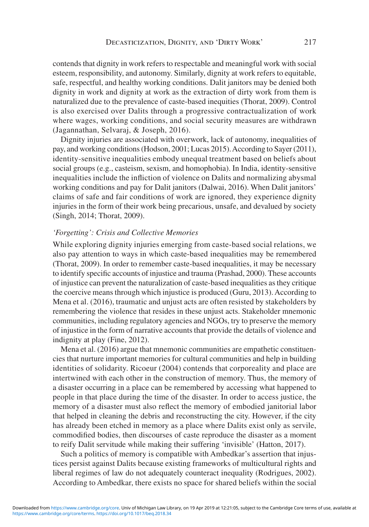contends that dignity in work refers to respectable and meaningful work with social esteem, responsibility, and autonomy. Similarly, dignity at work refers to equitable, safe, respectful, and healthy working conditions. Dalit janitors may be denied both dignity in work and dignity at work as the extraction of dirty work from them is naturalized due to the prevalence of caste-based inequities (Thorat, 2009). Control is also exercised over Dalits through a progressive contractualization of work where wages, working conditions, and social security measures are withdrawn (Jagannathan, Selvaraj, & Joseph, 2016).

Dignity injuries are associated with overwork, lack of autonomy, inequalities of pay, and working conditions (Hodson, 2001; Lucas 2015). According to Sayer (2011), identity-sensitive inequalities embody unequal treatment based on beliefs about social groups (e.g., casteism, sexism, and homophobia). In India, identity-sensitive inequalities include the infliction of violence on Dalits and normalizing abysmal working conditions and pay for Dalit janitors (Dalwai, 2016). When Dalit janitors' claims of safe and fair conditions of work are ignored, they experience dignity injuries in the form of their work being precarious, unsafe, and devalued by society (Singh, 2014; Thorat, 2009).

## *'Forgetting': Crisis and Collective Memories*

While exploring dignity injuries emerging from caste-based social relations, we also pay attention to ways in which caste-based inequalities may be remembered (Thorat, 2009). In order to remember caste-based inequalities, it may be necessary to identify specific accounts of injustice and trauma (Prashad, 2000). These accounts of injustice can prevent the naturalization of caste-based inequalities as they critique the coercive means through which injustice is produced (Guru, 2013). According to Mena et al. (2016), traumatic and unjust acts are often resisted by stakeholders by remembering the violence that resides in these unjust acts. Stakeholder mnemonic communities, including regulatory agencies and NGOs, try to preserve the memory of injustice in the form of narrative accounts that provide the details of violence and indignity at play (Fine, 2012).

Mena et al. (2016) argue that mnemonic communities are empathetic constituencies that nurture important memories for cultural communities and help in building identities of solidarity. Ricoeur (2004) contends that corporeality and place are intertwined with each other in the construction of memory. Thus, the memory of a disaster occurring in a place can be remembered by accessing what happened to people in that place during the time of the disaster. In order to access justice, the memory of a disaster must also reflect the memory of embodied janitorial labor that helped in cleaning the debris and reconstructing the city. However, if the city has already been etched in memory as a place where Dalits exist only as servile, commodified bodies, then discourses of caste reproduce the disaster as a moment to reify Dalit servitude while making their suffering 'invisible' (Hatton, 2017).

Such a politics of memory is compatible with Ambedkar's assertion that injustices persist against Dalits because existing frameworks of multicultural rights and liberal regimes of law do not adequately counteract inequality (Rodrigues, 2002). According to Ambedkar, there exists no space for shared beliefs within the social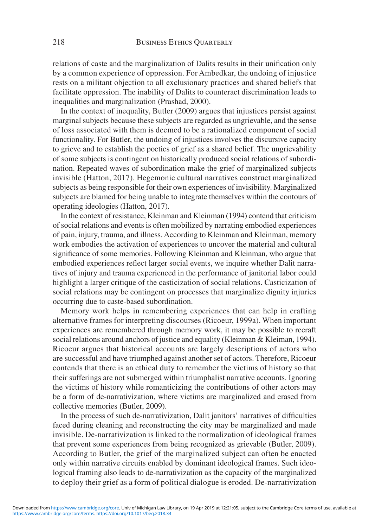relations of caste and the marginalization of Dalits results in their unification only by a common experience of oppression. For Ambedkar, the undoing of injustice rests on a militant objection to all exclusionary practices and shared beliefs that facilitate oppression. The inability of Dalits to counteract discrimination leads to inequalities and marginalization (Prashad, 2000).

In the context of inequality, Butler (2009) argues that injustices persist against marginal subjects because these subjects are regarded as ungrievable, and the sense of loss associated with them is deemed to be a rationalized component of social functionality. For Butler, the undoing of injustices involves the discursive capacity to grieve and to establish the poetics of grief as a shared belief. The ungrievability of some subjects is contingent on historically produced social relations of subordination. Repeated waves of subordination make the grief of marginalized subjects invisible (Hatton, 2017). Hegemonic cultural narratives construct marginalized subjects as being responsible for their own experiences of invisibility. Marginalized subjects are blamed for being unable to integrate themselves within the contours of operating ideologies (Hatton, 2017).

In the context of resistance, Kleinman and Kleinman (1994) contend that criticism of social relations and events is often mobilized by narrating embodied experiences of pain, injury, trauma, and illness. According to Kleinman and Kleinman, memory work embodies the activation of experiences to uncover the material and cultural significance of some memories. Following Kleinman and Kleinman, who argue that embodied experiences reflect larger social events, we inquire whether Dalit narratives of injury and trauma experienced in the performance of janitorial labor could highlight a larger critique of the casticization of social relations. Casticization of social relations may be contingent on processes that marginalize dignity injuries occurring due to caste-based subordination.

Memory work helps in remembering experiences that can help in crafting alternative frames for interpreting discourses (Ricoeur, 1999a). When important experiences are remembered through memory work, it may be possible to recraft social relations around anchors of justice and equality (Kleinman & Kleiman, 1994). Ricoeur argues that historical accounts are largely descriptions of actors who are successful and have triumphed against another set of actors. Therefore, Ricoeur contends that there is an ethical duty to remember the victims of history so that their sufferings are not submerged within triumphalist narrative accounts. Ignoring the victims of history while romanticizing the contributions of other actors may be a form of de-narrativization, where victims are marginalized and erased from collective memories (Butler, 2009).

In the process of such de-narrativization, Dalit janitors' narratives of difficulties faced during cleaning and reconstructing the city may be marginalized and made invisible. De-narrativization is linked to the normalization of ideological frames that prevent some experiences from being recognized as grievable (Butler, 2009). According to Butler, the grief of the marginalized subject can often be enacted only within narrative circuits enabled by dominant ideological frames. Such ideological framing also leads to de-narrativization as the capacity of the marginalized to deploy their grief as a form of political dialogue is eroded. De-narrativization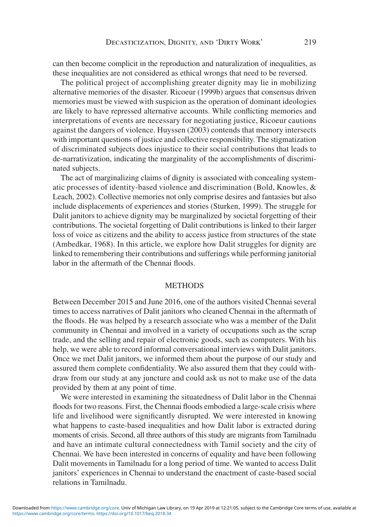can then become complicit in the reproduction and naturalization of inequalities, as these inequalities are not considered as ethical wrongs that need to be reversed.

The political project of accomplishing greater dignity may lie in mobilizing alternative memories of the disaster. Ricoeur (1999b) argues that consensus driven memories must be viewed with suspicion as the operation of dominant ideologies are likely to have repressed alternative accounts. While conflicting memories and interpretations of events are necessary for negotiating justice, Ricoeur cautions against the dangers of violence. Huyssen (2003) contends that memory intersects with important questions of justice and collective responsibility. The stigmatization of discriminated subjects does injustice to their social contributions that leads to de-narrativization, indicating the marginality of the accomplishments of discriminated subjects.

The act of marginalizing claims of dignity is associated with concealing systematic processes of identity-based violence and discrimination (Bold, Knowles, & Leach, 2002). Collective memories not only comprise desires and fantasies but also include displacements of experiences and stories (Sturken, 1999). The struggle for Dalit janitors to achieve dignity may be marginalized by societal forgetting of their contributions. The societal forgetting of Dalit contributions is linked to their larger loss of voice as citizens and the ability to access justice from structures of the state (Ambedkar, 1968). In this article, we explore how Dalit struggles for dignity are linked to remembering their contributions and sufferings while performing janitorial labor in the aftermath of the Chennai floods.

#### **METHODS**

Between December 2015 and June 2016, one of the authors visited Chennai several times to access narratives of Dalit janitors who cleaned Chennai in the aftermath of the floods. He was helped by a research associate who was a member of the Dalit community in Chennai and involved in a variety of occupations such as the scrap trade, and the selling and repair of electronic goods, such as computers. With his help, we were able to record informal conversational interviews with Dalit janitors. Once we met Dalit janitors, we informed them about the purpose of our study and assured them complete confidentiality. We also assured them that they could withdraw from our study at any juncture and could ask us not to make use of the data provided by them at any point of time.

We were interested in examining the situatedness of Dalit labor in the Chennai floods for two reasons. First, the Chennai floods embodied a large-scale crisis where life and livelihood were significantly disrupted. We were interested in knowing what happens to caste-based inequalities and how Dalit labor is extracted during moments of crisis. Second, all three authors of this study are migrants from Tamilnadu and have an intimate cultural connectedness with Tamil society and the city of Chennai. We have been interested in concerns of equality and have been following Dalit movements in Tamilnadu for a long period of time. We wanted to access Dalit janitors' experiences in Chennai to understand the enactment of caste-based social relations in Tamilnadu.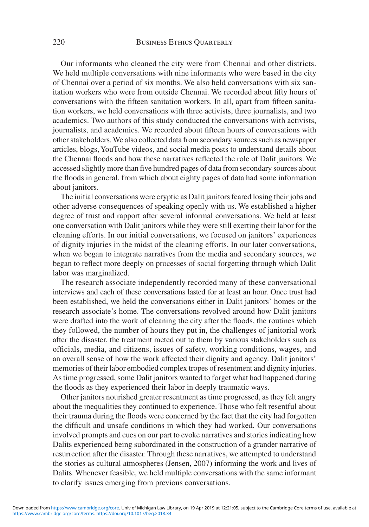Our informants who cleaned the city were from Chennai and other districts. We held multiple conversations with nine informants who were based in the city of Chennai over a period of six months. We also held conversations with six sanitation workers who were from outside Chennai. We recorded about fifty hours of conversations with the fifteen sanitation workers. In all, apart from fifteen sanitation workers, we held conversations with three activists, three journalists, and two academics. Two authors of this study conducted the conversations with activists, journalists, and academics. We recorded about fifteen hours of conversations with other stakeholders. We also collected data from secondary sources such as newspaper articles, blogs, YouTube videos, and social media posts to understand details about the Chennai floods and how these narratives reflected the role of Dalit janitors. We accessed slightly more than five hundred pages of data from secondary sources about the floods in general, from which about eighty pages of data had some information about janitors.

The initial conversations were cryptic as Dalit janitors feared losing their jobs and other adverse consequences of speaking openly with us. We established a higher degree of trust and rapport after several informal conversations. We held at least one conversation with Dalit janitors while they were still exerting their labor for the cleaning efforts. In our initial conversations, we focused on janitors' experiences of dignity injuries in the midst of the cleaning efforts. In our later conversations, when we began to integrate narratives from the media and secondary sources, we began to reflect more deeply on processes of social forgetting through which Dalit labor was marginalized.

The research associate independently recorded many of these conversational interviews and each of these conversations lasted for at least an hour. Once trust had been established, we held the conversations either in Dalit janitors' homes or the research associate's home. The conversations revolved around how Dalit janitors were drafted into the work of cleaning the city after the floods, the routines which they followed, the number of hours they put in, the challenges of janitorial work after the disaster, the treatment meted out to them by various stakeholders such as officials, media, and citizens, issues of safety, working conditions, wages, and an overall sense of how the work affected their dignity and agency. Dalit janitors' memories of their labor embodied complex tropes of resentment and dignity injuries. As time progressed, some Dalit janitors wanted to forget what had happened during the floods as they experienced their labor in deeply traumatic ways.

Other janitors nourished greater resentment as time progressed, as they felt angry about the inequalities they continued to experience. Those who felt resentful about their trauma during the floods were concerned by the fact that the city had forgotten the difficult and unsafe conditions in which they had worked. Our conversations involved prompts and cues on our part to evoke narratives and stories indicating how Dalits experienced being subordinated in the construction of a grander narrative of resurrection after the disaster. Through these narratives, we attempted to understand the stories as cultural atmospheres (Jensen, 2007) informing the work and lives of Dalits. Whenever feasible, we held multiple conversations with the same informant to clarify issues emerging from previous conversations.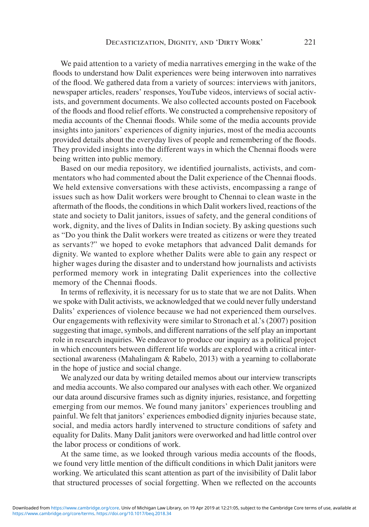We paid attention to a variety of media narratives emerging in the wake of the floods to understand how Dalit experiences were being interwoven into narratives of the flood. We gathered data from a variety of sources: interviews with janitors, newspaper articles, readers' responses, YouTube videos, interviews of social activists, and government documents. We also collected accounts posted on Facebook of the floods and flood relief efforts. We constructed a comprehensive repository of media accounts of the Chennai floods. While some of the media accounts provide insights into janitors' experiences of dignity injuries, most of the media accounts provided details about the everyday lives of people and remembering of the floods. They provided insights into the different ways in which the Chennai floods were being written into public memory.

Based on our media repository, we identified journalists, activists, and commentators who had commented about the Dalit experience of the Chennai floods. We held extensive conversations with these activists, encompassing a range of issues such as how Dalit workers were brought to Chennai to clean waste in the aftermath of the floods, the conditions in which Dalit workers lived, reactions of the state and society to Dalit janitors, issues of safety, and the general conditions of work, dignity, and the lives of Dalits in Indian society. By asking questions such as "Do you think the Dalit workers were treated as citizens or were they treated as servants?" we hoped to evoke metaphors that advanced Dalit demands for dignity. We wanted to explore whether Dalits were able to gain any respect or higher wages during the disaster and to understand how journalists and activists performed memory work in integrating Dalit experiences into the collective memory of the Chennai floods.

In terms of reflexivity, it is necessary for us to state that we are not Dalits. When we spoke with Dalit activists, we acknowledged that we could never fully understand Dalits' experiences of violence because we had not experienced them ourselves. Our engagements with reflexivity were similar to Stronach et al.'s (2007) position suggesting that image, symbols, and different narrations of the self play an important role in research inquiries. We endeavor to produce our inquiry as a political project in which encounters between different life worlds are explored with a critical intersectional awareness (Mahalingam & Rabelo, 2013) with a yearning to collaborate in the hope of justice and social change.

We analyzed our data by writing detailed memos about our interview transcripts and media accounts. We also compared our analyses with each other. We organized our data around discursive frames such as dignity injuries, resistance, and forgetting emerging from our memos. We found many janitors' experiences troubling and painful. We felt that janitors' experiences embodied dignity injuries because state, social, and media actors hardly intervened to structure conditions of safety and equality for Dalits. Many Dalit janitors were overworked and had little control over the labor process or conditions of work.

At the same time, as we looked through various media accounts of the floods, we found very little mention of the difficult conditions in which Dalit janitors were working. We articulated this scant attention as part of the invisibility of Dalit labor that structured processes of social forgetting. When we reflected on the accounts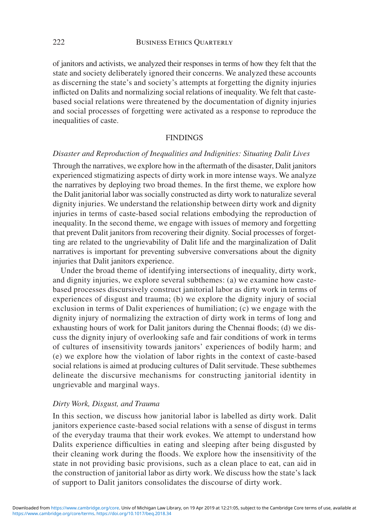of janitors and activists, we analyzed their responses in terms of how they felt that the state and society deliberately ignored their concerns. We analyzed these accounts as discerning the state's and society's attempts at forgetting the dignity injuries inflicted on Dalits and normalizing social relations of inequality. We felt that castebased social relations were threatened by the documentation of dignity injuries and social processes of forgetting were activated as a response to reproduce the inequalities of caste.

## **FINDINGS**

#### *Disaster and Reproduction of Inequalities and Indignities: Situating Dalit Lives*

Through the narratives, we explore how in the aftermath of the disaster, Dalit janitors experienced stigmatizing aspects of dirty work in more intense ways. We analyze the narratives by deploying two broad themes. In the first theme, we explore how the Dalit janitorial labor was socially constructed as dirty work to naturalize several dignity injuries. We understand the relationship between dirty work and dignity injuries in terms of caste-based social relations embodying the reproduction of inequality. In the second theme, we engage with issues of memory and forgetting that prevent Dalit janitors from recovering their dignity. Social processes of forgetting are related to the ungrievability of Dalit life and the marginalization of Dalit narratives is important for preventing subversive conversations about the dignity injuries that Dalit janitors experience.

Under the broad theme of identifying intersections of inequality, dirty work, and dignity injuries, we explore several subthemes: (a) we examine how castebased processes discursively construct janitorial labor as dirty work in terms of experiences of disgust and trauma; (b) we explore the dignity injury of social exclusion in terms of Dalit experiences of humiliation; (c) we engage with the dignity injury of normalizing the extraction of dirty work in terms of long and exhausting hours of work for Dalit janitors during the Chennai floods; (d) we discuss the dignity injury of overlooking safe and fair conditions of work in terms of cultures of insensitivity towards janitors' experiences of bodily harm; and (e) we explore how the violation of labor rights in the context of caste-based social relations is aimed at producing cultures of Dalit servitude. These subthemes delineate the discursive mechanisms for constructing janitorial identity in ungrievable and marginal ways.

### *Dirty Work, Disgust, and Trauma*

In this section, we discuss how janitorial labor is labelled as dirty work. Dalit janitors experience caste-based social relations with a sense of disgust in terms of the everyday trauma that their work evokes. We attempt to understand how Dalits experience difficulties in eating and sleeping after being disgusted by their cleaning work during the floods. We explore how the insensitivity of the state in not providing basic provisions, such as a clean place to eat, can aid in the construction of janitorial labor as dirty work. We discuss how the state's lack of support to Dalit janitors consolidates the discourse of dirty work.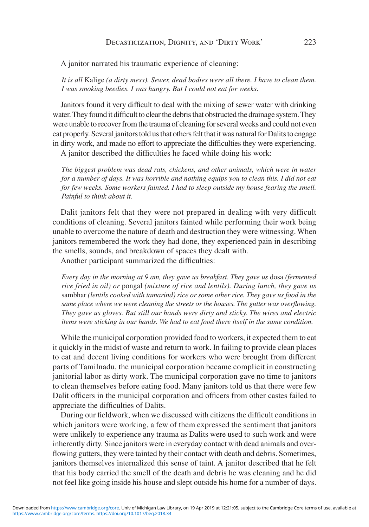A janitor narrated his traumatic experience of cleaning:

*It is all* Kalige *(a dirty mess). Sewer, dead bodies were all there. I have to clean them. I was smoking beedies. I was hungry. But I could not eat for weeks*.

Janitors found it very difficult to deal with the mixing of sewer water with drinking water. They found it difficult to clear the debris that obstructed the drainage system. They were unable to recover from the trauma of cleaning for several weeks and could not even eat properly. Several janitors told us that others felt that it was natural for Dalits to engage in dirty work, and made no effort to appreciate the difficulties they were experiencing.

A janitor described the difficulties he faced while doing his work:

*The biggest problem was dead rats, chickens, and other animals, which were in water for a number of days. It was horrible and nothing equips you to clean this. I did not eat for few weeks. Some workers fainted. I had to sleep outside my house fearing the smell. Painful to think about it*.

Dalit janitors felt that they were not prepared in dealing with very difficult conditions of cleaning. Several janitors fainted while performing their work being unable to overcome the nature of death and destruction they were witnessing. When janitors remembered the work they had done, they experienced pain in describing the smells, sounds, and breakdown of spaces they dealt with.

Another participant summarized the difficulties:

*Every day in the morning at 9 am, they gave us breakfast. They gave us* dosa *(fermented rice fried in oil) or* pongal *(mixture of rice and lentils). During lunch, they gave us* sambhar *(lentils cooked with tamarind) rice or some other rice. They gave us food in the same place where we were cleaning the streets or the houses. The gutter was overflowing. They gave us gloves. But still our hands were dirty and sticky. The wires and electric items were sticking in our hands. We had to eat food there itself in the same condition.*

While the municipal corporation provided food to workers, it expected them to eat it quickly in the midst of waste and return to work. In failing to provide clean places to eat and decent living conditions for workers who were brought from different parts of Tamilnadu, the municipal corporation became complicit in constructing janitorial labor as dirty work. The municipal corporation gave no time to janitors to clean themselves before eating food. Many janitors told us that there were few Dalit officers in the municipal corporation and officers from other castes failed to appreciate the difficulties of Dalits.

During our fieldwork, when we discussed with citizens the difficult conditions in which janitors were working, a few of them expressed the sentiment that janitors were unlikely to experience any trauma as Dalits were used to such work and were inherently dirty. Since janitors were in everyday contact with dead animals and overflowing gutters, they were tainted by their contact with death and debris. Sometimes, janitors themselves internalized this sense of taint. A janitor described that he felt that his body carried the smell of the death and debris he was cleaning and he did not feel like going inside his house and slept outside his home for a number of days.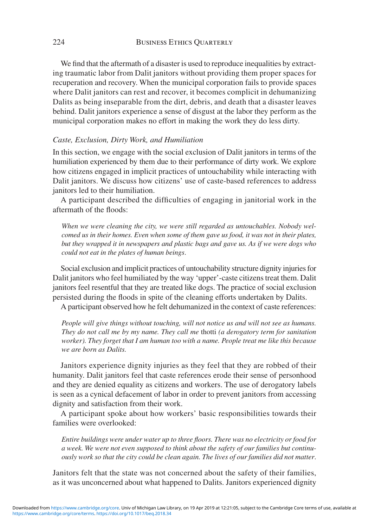We find that the aftermath of a disaster is used to reproduce inequalities by extracting traumatic labor from Dalit janitors without providing them proper spaces for recuperation and recovery. When the municipal corporation fails to provide spaces where Dalit janitors can rest and recover, it becomes complicit in dehumanizing Dalits as being inseparable from the dirt, debris, and death that a disaster leaves behind. Dalit janitors experience a sense of disgust at the labor they perform as the municipal corporation makes no effort in making the work they do less dirty.

## *Caste, Exclusion, Dirty Work, and Humiliation*

In this section, we engage with the social exclusion of Dalit janitors in terms of the humiliation experienced by them due to their performance of dirty work. We explore how citizens engaged in implicit practices of untouchability while interacting with Dalit janitors. We discuss how citizens' use of caste-based references to address janitors led to their humiliation.

A participant described the difficulties of engaging in janitorial work in the aftermath of the floods:

*When we were cleaning the city, we were still regarded as untouchables. Nobody welcomed us in their homes. Even when some of them gave us food, it was not in their plates, but they wrapped it in newspapers and plastic bags and gave us. As if we were dogs who could not eat in the plates of human beings*.

Social exclusion and implicit practices of untouchability structure dignity injuries for Dalit janitors who feel humiliated by the way 'upper'-caste citizens treat them. Dalit janitors feel resentful that they are treated like dogs. The practice of social exclusion persisted during the floods in spite of the cleaning efforts undertaken by Dalits.

A participant observed how he felt dehumanized in the context of caste references:

*People will give things without touching, will not notice us and will not see as humans. They do not call me by my name. They call me* thotti *(a derogatory term for sanitation worker). They forget that I am human too with a name. People treat me like this because we are born as Dalits.*

Janitors experience dignity injuries as they feel that they are robbed of their humanity. Dalit janitors feel that caste references erode their sense of personhood and they are denied equality as citizens and workers. The use of derogatory labels is seen as a cynical defacement of labor in order to prevent janitors from accessing dignity and satisfaction from their work.

A participant spoke about how workers' basic responsibilities towards their families were overlooked:

*Entire buildings were under water up to three floors. There was no electricity or food for a week. We were not even supposed to think about the safety of our families but continuously work so that the city could be clean again. The lives of our families did not matter*.

Janitors felt that the state was not concerned about the safety of their families, as it was unconcerned about what happened to Dalits. Janitors experienced dignity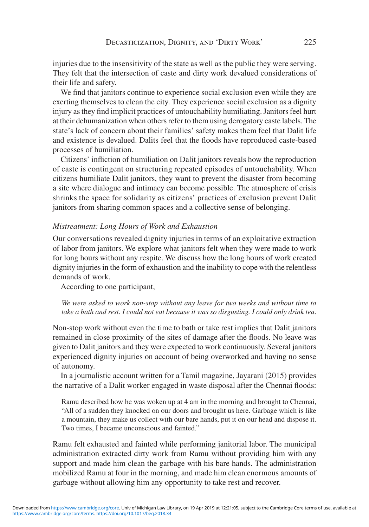injuries due to the insensitivity of the state as well as the public they were serving. They felt that the intersection of caste and dirty work devalued considerations of their life and safety.

We find that janitors continue to experience social exclusion even while they are exerting themselves to clean the city. They experience social exclusion as a dignity injury as they find implicit practices of untouchability humiliating. Janitors feel hurt at their dehumanization when others refer to them using derogatory caste labels. The state's lack of concern about their families' safety makes them feel that Dalit life and existence is devalued. Dalits feel that the floods have reproduced caste-based processes of humiliation.

Citizens' infliction of humiliation on Dalit janitors reveals how the reproduction of caste is contingent on structuring repeated episodes of untouchability. When citizens humiliate Dalit janitors, they want to prevent the disaster from becoming a site where dialogue and intimacy can become possible. The atmosphere of crisis shrinks the space for solidarity as citizens' practices of exclusion prevent Dalit janitors from sharing common spaces and a collective sense of belonging.

### *Mistreatment: Long Hours of Work and Exhaustion*

Our conversations revealed dignity injuries in terms of an exploitative extraction of labor from janitors. We explore what janitors felt when they were made to work for long hours without any respite. We discuss how the long hours of work created dignity injuries in the form of exhaustion and the inability to cope with the relentless demands of work.

According to one participant,

*We were asked to work non-stop without any leave for two weeks and without time to take a bath and rest. I could not eat because it was so disgusting. I could only drink tea*.

Non-stop work without even the time to bath or take rest implies that Dalit janitors remained in close proximity of the sites of damage after the floods. No leave was given to Dalit janitors and they were expected to work continuously. Several janitors experienced dignity injuries on account of being overworked and having no sense of autonomy.

In a journalistic account written for a Tamil magazine, Jayarani (2015) provides the narrative of a Dalit worker engaged in waste disposal after the Chennai floods:

Ramu described how he was woken up at 4 am in the morning and brought to Chennai, "All of a sudden they knocked on our doors and brought us here. Garbage which is like a mountain, they make us collect with our bare hands, put it on our head and dispose it. Two times, I became unconscious and fainted."

Ramu felt exhausted and fainted while performing janitorial labor. The municipal administration extracted dirty work from Ramu without providing him with any support and made him clean the garbage with his bare hands. The administration mobilized Ramu at four in the morning, and made him clean enormous amounts of garbage without allowing him any opportunity to take rest and recover.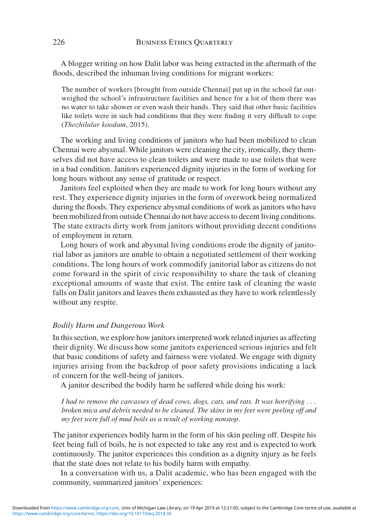A blogger writing on how Dalit labor was being extracted in the aftermath of the floods, described the inhuman living conditions for migrant workers:

The number of workers [brought from outside Chennai] put up in the school far outweighed the school's infrastructure facilities and hence for a lot of them there was no water to take shower or even wash their hands. They said that other basic facilities like toilets were in such bad conditions that they were finding it very difficult to cope (*Thozhilalar koodam*, 2015).

The working and living conditions of janitors who had been mobilized to clean Chennai were abysmal. While janitors were cleaning the city, ironically, they themselves did not have access to clean toilets and were made to use toilets that were in a bad condition. Janitors experienced dignity injuries in the form of working for long hours without any sense of gratitude or respect.

Janitors feel exploited when they are made to work for long hours without any rest. They experience dignity injuries in the form of overwork being normalized during the floods. They experience abysmal conditions of work as janitors who have been mobilized from outside Chennai do not have access to decent living conditions. The state extracts dirty work from janitors without providing decent conditions of employment in return.

Long hours of work and abysmal living conditions erode the dignity of janitorial labor as janitors are unable to obtain a negotiated settlement of their working conditions. The long hours of work commodify janitorial labor as citizens do not come forward in the spirit of civic responsibility to share the task of cleaning exceptional amounts of waste that exist. The entire task of cleaning the waste falls on Dalit janitors and leaves them exhausted as they have to work relentlessly without any respite.

#### *Bodily Harm and Dangerous Work*

In this section, we explore how janitors interpreted work related injuries as affecting their dignity. We discuss how some janitors experienced serious injuries and felt that basic conditions of safety and fairness were violated. We engage with dignity injuries arising from the backdrop of poor safety provisions indicating a lack of concern for the well-being of janitors.

A janitor described the bodily harm he suffered while doing his work:

*I had to remove the carcasses of dead cows, dogs, cats, and rats. It was horrifying . . . broken mica and debris needed to be cleaned. The skins in my feet were peeling off and my feet were full of mud boils as a result of working nonstop*.

The janitor experiences bodily harm in the form of his skin peeling off. Despite his feet being full of boils, he is not expected to take any rest and is expected to work continuously. The janitor experiences this condition as a dignity injury as he feels that the state does not relate to his bodily harm with empathy.

In a conversation with us, a Dalit academic, who has been engaged with the community, summarized janitors' experiences: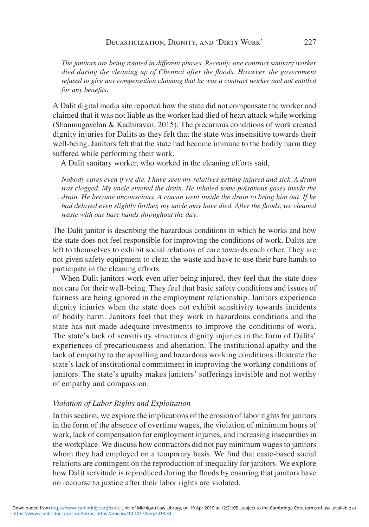*The janitors are being rotated in different phases. Recently, one contract sanitary worker died during the cleaning up of Chennai after the floods. However, the government refused to give any compensation claiming that he was a contract worker and not entitled for any benefits*.

A Dalit digital media site reported how the state did not compensate the worker and claimed that it was not liable as the worker had died of heart attack while working (Shanmugavelan & Kadhiravan, 2015). The precarious conditions of work created dignity injuries for Dalits as they felt that the state was insensitive towards their well-being. Janitors felt that the state had become immune to the bodily harm they suffered while performing their work.

A Dalit sanitary worker, who worked in the cleaning efforts said,

*Nobody cares even if we die. I have seen my relatives getting injured and sick. A drain was clogged. My uncle entered the drain. He inhaled some poisonous gases inside the drain. He became unconscious. A cousin went inside the drain to bring him out. If he had delayed even slightly further, my uncle may have died. After the floods, we cleaned waste with our bare hands throughout the day*.

The Dalit janitor is describing the hazardous conditions in which he works and how the state does not feel responsible for improving the conditions of work. Dalits are left to themselves to exhibit social relations of care towards each other. They are not given safety equipment to clean the waste and have to use their bare hands to participate in the cleaning efforts.

When Dalit janitors work even after being injured, they feel that the state does not care for their well-being. They feel that basic safety conditions and issues of fairness are being ignored in the employment relationship. Janitors experience dignity injuries when the state does not exhibit sensitivity towards incidents of bodily harm. Janitors feel that they work in hazardous conditions and the state has not made adequate investments to improve the conditions of work. The state's lack of sensitivity structures dignity injuries in the form of Dalits' experiences of precariousness and alienation. The institutional apathy and the lack of empathy to the appalling and hazardous working conditions illustrate the state's lack of institutional commitment in improving the working conditions of janitors. The state's apathy makes janitors' sufferings invisible and not worthy of empathy and compassion.

#### *Violation of Labor Rights and Exploitation*

In this section, we explore the implications of the erosion of labor rights for janitors in the form of the absence of overtime wages, the violation of minimum hours of work, lack of compensation for employment injuries, and increasing insecurities in the workplace. We discuss how contractors did not pay minimum wages to janitors whom they had employed on a temporary basis. We find that caste-based social relations are contingent on the reproduction of inequality for janitors. We explore how Dalit servitude is reproduced during the floods by ensuring that janitors have no recourse to justice after their labor rights are violated.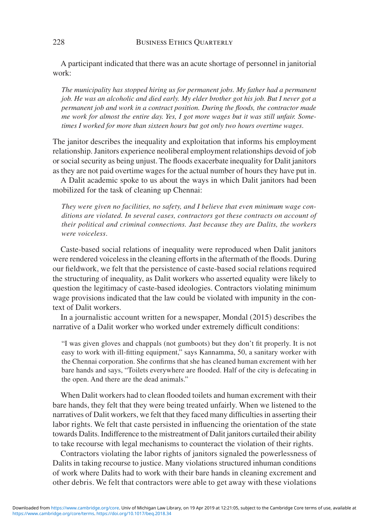A participant indicated that there was an acute shortage of personnel in janitorial work:

*The municipality has stopped hiring us for permanent jobs. My father had a permanent job. He was an alcoholic and died early. My elder brother got his job. But I never got a permanent job and work in a contract position. During the floods, the contractor made me work for almost the entire day. Yes, I got more wages but it was still unfair. Sometimes I worked for more than sixteen hours but got only two hours overtime wages*.

The janitor describes the inequality and exploitation that informs his employment relationship. Janitors experience neoliberal employment relationships devoid of job or social security as being unjust. The floods exacerbate inequality for Dalit janitors as they are not paid overtime wages for the actual number of hours they have put in.

A Dalit academic spoke to us about the ways in which Dalit janitors had been mobilized for the task of cleaning up Chennai:

*They were given no facilities, no safety, and I believe that even minimum wage conditions are violated. In several cases, contractors got these contracts on account of their political and criminal connections. Just because they are Dalits, the workers were voiceless*.

Caste-based social relations of inequality were reproduced when Dalit janitors were rendered voiceless in the cleaning efforts in the aftermath of the floods. During our fieldwork, we felt that the persistence of caste-based social relations required the structuring of inequality, as Dalit workers who asserted equality were likely to question the legitimacy of caste-based ideologies. Contractors violating minimum wage provisions indicated that the law could be violated with impunity in the context of Dalit workers.

In a journalistic account written for a newspaper, Mondal (2015) describes the narrative of a Dalit worker who worked under extremely difficult conditions:

"I was given gloves and chappals (not gumboots) but they don't fit properly. It is not easy to work with ill-fitting equipment," says Kannamma, 50, a sanitary worker with the Chennai corporation. She confirms that she has cleaned human excrement with her bare hands and says, "Toilets everywhere are flooded. Half of the city is defecating in the open. And there are the dead animals."

When Dalit workers had to clean flooded toilets and human excrement with their bare hands, they felt that they were being treated unfairly. When we listened to the narratives of Dalit workers, we felt that they faced many difficulties in asserting their labor rights. We felt that caste persisted in influencing the orientation of the state towards Dalits. Indifference to the mistreatment of Dalit janitors curtailed their ability to take recourse with legal mechanisms to counteract the violation of their rights.

Contractors violating the labor rights of janitors signaled the powerlessness of Dalits in taking recourse to justice. Many violations structured inhuman conditions of work where Dalits had to work with their bare hands in cleaning excrement and other debris. We felt that contractors were able to get away with these violations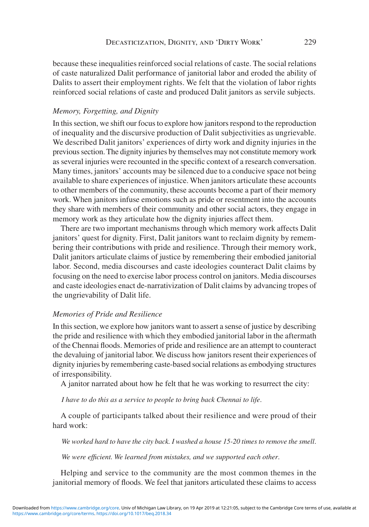because these inequalities reinforced social relations of caste. The social relations of caste naturalized Dalit performance of janitorial labor and eroded the ability of Dalits to assert their employment rights. We felt that the violation of labor rights reinforced social relations of caste and produced Dalit janitors as servile subjects.

# *Memory, Forgetting, and Dignity*

In this section, we shift our focus to explore how janitors respond to the reproduction of inequality and the discursive production of Dalit subjectivities as ungrievable. We described Dalit janitors' experiences of dirty work and dignity injuries in the previous section. The dignity injuries by themselves may not constitute memory work as several injuries were recounted in the specific context of a research conversation. Many times, janitors' accounts may be silenced due to a conducive space not being available to share experiences of injustice. When janitors articulate these accounts to other members of the community, these accounts become a part of their memory work. When janitors infuse emotions such as pride or resentment into the accounts they share with members of their community and other social actors, they engage in memory work as they articulate how the dignity injuries affect them.

There are two important mechanisms through which memory work affects Dalit janitors' quest for dignity. First, Dalit janitors want to reclaim dignity by remembering their contributions with pride and resilience. Through their memory work, Dalit janitors articulate claims of justice by remembering their embodied janitorial labor. Second, media discourses and caste ideologies counteract Dalit claims by focusing on the need to exercise labor process control on janitors. Media discourses and caste ideologies enact de-narrativization of Dalit claims by advancing tropes of the ungrievability of Dalit life.

### *Memories of Pride and Resilience*

In this section, we explore how janitors want to assert a sense of justice by describing the pride and resilience with which they embodied janitorial labor in the aftermath of the Chennai floods. Memories of pride and resilience are an attempt to counteract the devaluing of janitorial labor. We discuss how janitors resent their experiences of dignity injuries by remembering caste-based social relations as embodying structures of irresponsibility.

A janitor narrated about how he felt that he was working to resurrect the city:

*I have to do this as a service to people to bring back Chennai to life*.

A couple of participants talked about their resilience and were proud of their hard work:

*We worked hard to have the city back. I washed a house 15-20 times to remove the smell*.

*We were efficient. We learned from mistakes, and we supported each other*.

Helping and service to the community are the most common themes in the janitorial memory of floods. We feel that janitors articulated these claims to access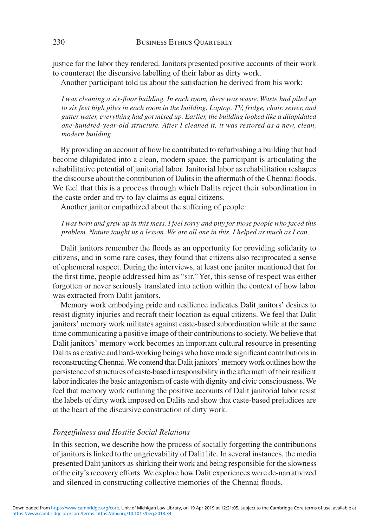justice for the labor they rendered. Janitors presented positive accounts of their work to counteract the discursive labelling of their labor as dirty work.

Another participant told us about the satisfaction he derived from his work:

*I was cleaning a six-floor building. In each room, there was waste. Waste had piled up to six feet high piles in each room in the building. Laptop, TV, fridge, chair, sewer, and gutter water, everything had got mixed up. Earlier, the building looked like a dilapidated one-hundred-year-old structure. After I cleaned it, it was restored as a new, clean, modern building*.

By providing an account of how he contributed to refurbishing a building that had become dilapidated into a clean, modern space, the participant is articulating the rehabilitative potential of janitorial labor. Janitorial labor as rehabilitation reshapes the discourse about the contribution of Dalits in the aftermath of the Chennai floods. We feel that this is a process through which Dalits reject their subordination in the caste order and try to lay claims as equal citizens.

Another janitor empathized about the suffering of people:

*I was born and grew up in this mess. I feel sorry and pity for those people who faced this problem. Nature taught us a lesson. We are all one in this. I helped as much as I can*.

Dalit janitors remember the floods as an opportunity for providing solidarity to citizens, and in some rare cases, they found that citizens also reciprocated a sense of ephemeral respect. During the interviews, at least one janitor mentioned that for the first time, people addressed him as "sir." Yet, this sense of respect was either forgotten or never seriously translated into action within the context of how labor was extracted from Dalit janitors.

Memory work embodying pride and resilience indicates Dalit janitors' desires to resist dignity injuries and recraft their location as equal citizens. We feel that Dalit janitors' memory work militates against caste-based subordination while at the same time communicating a positive image of their contributions to society. We believe that Dalit janitors' memory work becomes an important cultural resource in presenting Dalits as creative and hard-working beings who have made significant contributions in reconstructing Chennai. We contend that Dalit janitors' memory work outlines how the persistence of structures of caste-based irresponsibility in the aftermath of their resilient labor indicates the basic antagonism of caste with dignity and civic consciousness. We feel that memory work outlining the positive accounts of Dalit janitorial labor resist the labels of dirty work imposed on Dalits and show that caste-based prejudices are at the heart of the discursive construction of dirty work.

# *Forgetfulness and Hostile Social Relations*

In this section, we describe how the process of socially forgetting the contributions of janitors is linked to the ungrievability of Dalit life. In several instances, the media presented Dalit janitors as shirking their work and being responsible for the slowness of the city's recovery efforts. We explore how Dalit experiences were de-narrativized and silenced in constructing collective memories of the Chennai floods.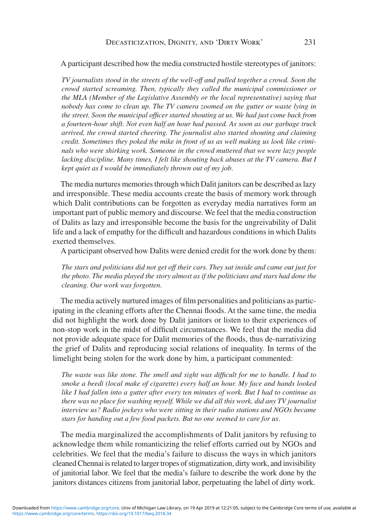#### A participant described how the media constructed hostile stereotypes of janitors:

*TV journalists stood in the streets of the well-off and pulled together a crowd. Soon the crowd started screaming. Then, typically they called the municipal commissioner or the MLA (Member of the Legislative Assembly or the local representative) saying that nobody has come to clean up. The TV camera zoomed on the gutter or waste lying in the street. Soon the municipal officer started shouting at us. We had just come back from a fourteen-hour shift. Not even half an hour had passed. As soon as our garbage truck arrived, the crowd started cheering. The journalist also started shouting and claiming credit. Sometimes they poked the mike in front of us as well making us look like criminals who were shirking work. Someone in the crowd muttered that we were lazy people lacking discipline. Many times, I felt like shouting back abuses at the TV camera. But I kept quiet as I would be immediately thrown out of my job*.

The media nurtures memories through which Dalit janitors can be described as lazy and irresponsible. These media accounts create the basis of memory work through which Dalit contributions can be forgotten as everyday media narratives form an important part of public memory and discourse. We feel that the media construction of Dalits as lazy and irresponsible become the basis for the ungreivability of Dalit life and a lack of empathy for the difficult and hazardous conditions in which Dalits exerted themselves.

A participant observed how Dalits were denied credit for the work done by them:

*The stars and politicians did not get off their cars. They sat inside and came out just for the photo. The media played the story almost as if the politicians and stars had done the cleaning. Our work was forgotten*.

The media actively nurtured images of film personalities and politicians as participating in the cleaning efforts after the Chennai floods. At the same time, the media did not highlight the work done by Dalit janitors or listen to their experiences of non-stop work in the midst of difficult circumstances. We feel that the media did not provide adequate space for Dalit memories of the floods, thus de-narrativizing the grief of Dalits and reproducing social relations of inequality. In terms of the limelight being stolen for the work done by him, a participant commented:

*The waste was like stone. The smell and sight was difficult for me to handle. I had to smoke a beedi (local make of cigarette) every half an hour. My face and hands looked like I had fallen into a gutter after every ten minutes of work. But I had to continue as there was no place for washing myself. While we did all this work, did any TV journalist interview us? Radio jockeys who were sitting in their radio stations and NGOs became stars for handing out a few food packets. But no one seemed to care for us*.

The media marginalized the accomplishments of Dalit janitors by refusing to acknowledge them while romanticizing the relief efforts carried out by NGOs and celebrities. We feel that the media's failure to discuss the ways in which janitors cleaned Chennai is related to larger tropes of stigmatization, dirty work, and invisibility of janitorial labor. We feel that the media's failure to describe the work done by the janitors distances citizens from janitorial labor, perpetuating the label of dirty work.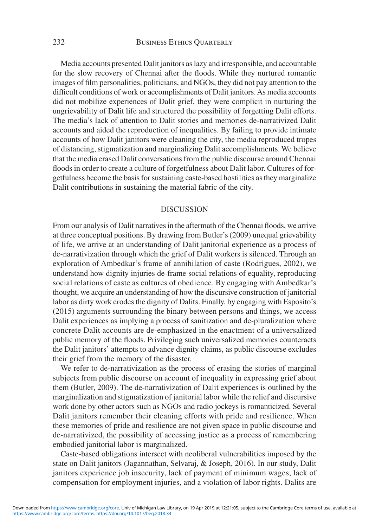Media accounts presented Dalit janitors as lazy and irresponsible, and accountable for the slow recovery of Chennai after the floods. While they nurtured romantic images of film personalities, politicians, and NGOs, they did not pay attention to the difficult conditions of work or accomplishments of Dalit janitors. As media accounts did not mobilize experiences of Dalit grief, they were complicit in nurturing the ungrievability of Dalit life and structured the possibility of forgetting Dalit efforts. The media's lack of attention to Dalit stories and memories de-narrativized Dalit accounts and aided the reproduction of inequalities. By failing to provide intimate accounts of how Dalit janitors were cleaning the city, the media reproduced tropes of distancing, stigmatization and marginalizing Dalit accomplishments. We believe that the media erased Dalit conversations from the public discourse around Chennai floods in order to create a culture of forgetfulness about Dalit labor. Cultures of forgetfulness become the basis for sustaining caste-based hostilities as they marginalize Dalit contributions in sustaining the material fabric of the city.

## **DISCUSSION**

From our analysis of Dalit narratives in the aftermath of the Chennai floods, we arrive at three conceptual positions. By drawing from Butler's (2009) unequal grievability of life, we arrive at an understanding of Dalit janitorial experience as a process of de-narrativization through which the grief of Dalit workers is silenced. Through an exploration of Ambedkar's frame of annihilation of caste (Rodrigues, 2002), we understand how dignity injuries de-frame social relations of equality, reproducing social relations of caste as cultures of obedience. By engaging with Ambedkar's thought, we acquire an understanding of how the discursive construction of janitorial labor as dirty work erodes the dignity of Dalits. Finally, by engaging with Esposito's (2015) arguments surrounding the binary between persons and things, we access Dalit experiences as implying a process of sanitization and de-pluralization where concrete Dalit accounts are de-emphasized in the enactment of a universalized public memory of the floods. Privileging such universalized memories counteracts the Dalit janitors' attempts to advance dignity claims, as public discourse excludes their grief from the memory of the disaster.

We refer to de-narrativization as the process of erasing the stories of marginal subjects from public discourse on account of inequality in expressing grief about them (Butler, 2009). The de-narrativization of Dalit experiences is outlined by the marginalization and stigmatization of janitorial labor while the relief and discursive work done by other actors such as NGOs and radio jockeys is romanticized. Several Dalit janitors remember their cleaning efforts with pride and resilience. When these memories of pride and resilience are not given space in public discourse and de-narrativized, the possibility of accessing justice as a process of remembering embodied janitorial labor is marginalized.

Caste-based obligations intersect with neoliberal vulnerabilities imposed by the state on Dalit janitors (Jagannathan, Selvaraj, & Joseph, 2016). In our study, Dalit janitors experience job insecurity, lack of payment of minimum wages, lack of compensation for employment injuries, and a violation of labor rights. Dalits are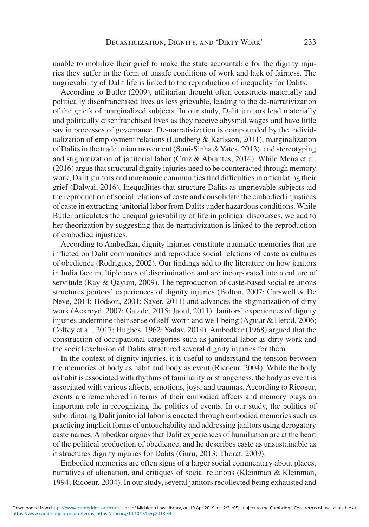unable to mobilize their grief to make the state accountable for the dignity injuries they suffer in the form of unsafe conditions of work and lack of fairness. The ungrievability of Dalit life is linked to the reproduction of inequality for Dalits.

According to Butler (2009), utilitarian thought often constructs materially and politically disenfranchised lives as less grievable, leading to the de-narrativization of the griefs of marginalized subjects. In our study, Dalit janitors lead materially and politically disenfranchised lives as they receive abysmal wages and have little say in processes of governance. De-narrativization is compounded by the individualization of employment relations (Lundberg  $\&$  Karlsson, 2011), marginalization of Dalits in the trade union movement (Soni-Sinha & Yates, 2013), and stereotyping and stigmatization of janitorial labor (Cruz & Abrantes, 2014). While Mena et al. (2016) argue that structural dignity injuries need to be counteracted through memory work, Dalit janitors and mnemonic communities find difficulties in articulating their grief (Dalwai, 2016). Inequalities that structure Dalits as ungrievable subjects aid the reproduction of social relations of caste and consolidate the embodied injustices of caste in extracting janitorial labor from Dalits under hazardous conditions. While Butler articulates the unequal grievability of life in political discourses, we add to her theorization by suggesting that de-narrativization is linked to the reproduction of embodied injustices.

According to Ambedkar, dignity injuries constitute traumatic memories that are inflicted on Dalit communities and reproduce social relations of caste as cultures of obedience (Rodrigues, 2002). Our findings add to the literature on how janitors in India face multiple axes of discrimination and are incorporated into a culture of servitude (Ray & Qayum, 2009). The reproduction of caste-based social relations structures janitors' experiences of dignity injuries (Bolton, 2007; Carswell & De Neve, 2014; Hodson, 2001; Sayer, 2011) and advances the stigmatization of dirty work (Ackroyd, 2007; Gatade, 2015; Jaoul, 2011). Janitors' experiences of dignity injuries undermine their sense of self-worth and well-being (Aguiar & Herod, 2006; Coffey et al., 2017; Hughes, 1962; Yadav, 2014). Ambedkar (1968) argued that the construction of occupational categories such as janitorial labor as dirty work and the social exclusion of Dalits structured several dignity injuries for them.

In the context of dignity injuries, it is useful to understand the tension between the memories of body as habit and body as event (Ricoeur, 2004). While the body as habit is associated with rhythms of familiarity or strangeness, the body as event is associated with various affects, emotions, joys, and traumas. According to Ricoeur, events are remembered in terms of their embodied affects and memory plays an important role in recognizing the politics of events. In our study, the politics of subordinating Dalit janitorial labor is enacted through embodied memories such as practicing implicit forms of untouchability and addressing janitors using derogatory caste names. Ambedkar argues that Dalit experiences of humiliation are at the heart of the political production of obedience, and he describes caste as unsustainable as it structures dignity injuries for Dalits (Guru, 2013; Thorat, 2009).

Embodied memories are often signs of a larger social commentary about places, narratives of alienation, and critiques of social relations (Kleinman & Kleinman, 1994; Ricoeur, 2004). In our study, several janitors recollected being exhausted and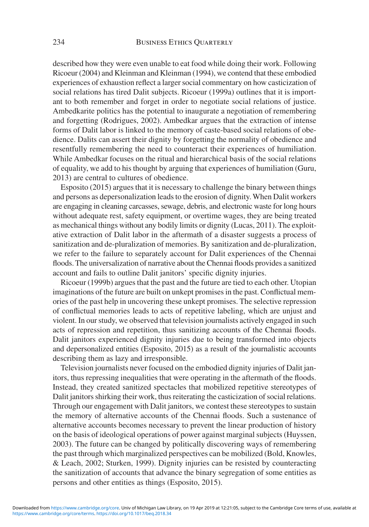described how they were even unable to eat food while doing their work. Following Ricoeur (2004) and Kleinman and Kleinman (1994), we contend that these embodied experiences of exhaustion reflect a larger social commentary on how casticization of social relations has tired Dalit subjects. Ricoeur (1999a) outlines that it is important to both remember and forget in order to negotiate social relations of justice. Ambedkarite politics has the potential to inaugurate a negotiation of remembering and forgetting (Rodrigues, 2002). Ambedkar argues that the extraction of intense forms of Dalit labor is linked to the memory of caste-based social relations of obedience. Dalits can assert their dignity by forgetting the normality of obedience and resentfully remembering the need to counteract their experiences of humiliation. While Ambedkar focuses on the ritual and hierarchical basis of the social relations of equality, we add to his thought by arguing that experiences of humiliation (Guru, 2013) are central to cultures of obedience.

Esposito (2015) argues that it is necessary to challenge the binary between things and persons as depersonalization leads to the erosion of dignity. When Dalit workers are engaging in cleaning carcasses, sewage, debris, and electronic waste for long hours without adequate rest, safety equipment, or overtime wages, they are being treated as mechanical things without any bodily limits or dignity (Lucas, 2011). The exploitative extraction of Dalit labor in the aftermath of a disaster suggests a process of sanitization and de-pluralization of memories. By sanitization and de-pluralization, we refer to the failure to separately account for Dalit experiences of the Chennai floods. The universalization of narrative about the Chennai floods provides a sanitized account and fails to outline Dalit janitors' specific dignity injuries.

Ricoeur (1999b) argues that the past and the future are tied to each other. Utopian imaginations of the future are built on unkept promises in the past. Conflictual memories of the past help in uncovering these unkept promises. The selective repression of conflictual memories leads to acts of repetitive labeling, which are unjust and violent. In our study, we observed that television journalists actively engaged in such acts of repression and repetition, thus sanitizing accounts of the Chennai floods. Dalit janitors experienced dignity injuries due to being transformed into objects and depersonalized entities (Esposito, 2015) as a result of the journalistic accounts describing them as lazy and irresponsible.

Television journalists never focused on the embodied dignity injuries of Dalit janitors, thus repressing inequalities that were operating in the aftermath of the floods. Instead, they created sanitized spectacles that mobilized repetitive stereotypes of Dalit janitors shirking their work, thus reiterating the casticization of social relations. Through our engagement with Dalit janitors, we contest these stereotypes to sustain the memory of alternative accounts of the Chennai floods. Such a sustenance of alternative accounts becomes necessary to prevent the linear production of history on the basis of ideological operations of power against marginal subjects (Huyssen, 2003). The future can be changed by politically discovering ways of remembering the past through which marginalized perspectives can be mobilized (Bold, Knowles, & Leach, 2002; Sturken, 1999). Dignity injuries can be resisted by counteracting the sanitization of accounts that advance the binary segregation of some entities as persons and other entities as things (Esposito, 2015).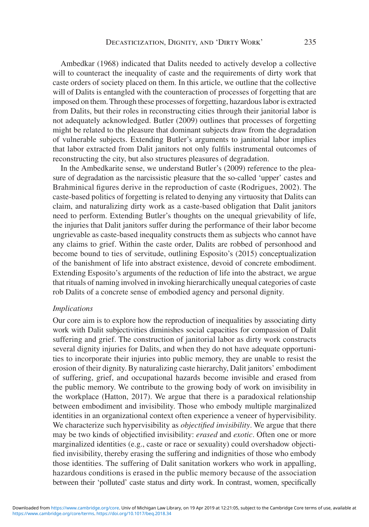Ambedkar (1968) indicated that Dalits needed to actively develop a collective will to counteract the inequality of caste and the requirements of dirty work that caste orders of society placed on them. In this article, we outline that the collective will of Dalits is entangled with the counteraction of processes of forgetting that are imposed on them. Through these processes of forgetting, hazardous labor is extracted from Dalits, but their roles in reconstructing cities through their janitorial labor is not adequately acknowledged. Butler (2009) outlines that processes of forgetting might be related to the pleasure that dominant subjects draw from the degradation of vulnerable subjects. Extending Butler's arguments to janitorial labor implies that labor extracted from Dalit janitors not only fulfils instrumental outcomes of reconstructing the city, but also structures pleasures of degradation.

In the Ambedkarite sense, we understand Butler's (2009) reference to the pleasure of degradation as the narcissistic pleasure that the so-called 'upper' castes and Brahminical figures derive in the reproduction of caste (Rodrigues, 2002). The caste-based politics of forgetting is related to denying any virtuosity that Dalits can claim, and naturalizing dirty work as a caste-based obligation that Dalit janitors need to perform. Extending Butler's thoughts on the unequal grievability of life, the injuries that Dalit janitors suffer during the performance of their labor become ungrievable as caste-based inequality constructs them as subjects who cannot have any claims to grief. Within the caste order, Dalits are robbed of personhood and become bound to ties of servitude, outlining Esposito's (2015) conceptualization of the banishment of life into abstract existence, devoid of concrete embodiment. Extending Esposito's arguments of the reduction of life into the abstract, we argue that rituals of naming involved in invoking hierarchically unequal categories of caste rob Dalits of a concrete sense of embodied agency and personal dignity.

#### *Implications*

Our core aim is to explore how the reproduction of inequalities by associating dirty work with Dalit subjectivities diminishes social capacities for compassion of Dalit suffering and grief. The construction of janitorial labor as dirty work constructs several dignity injuries for Dalits, and when they do not have adequate opportunities to incorporate their injuries into public memory, they are unable to resist the erosion of their dignity. By naturalizing caste hierarchy, Dalit janitors' embodiment of suffering, grief, and occupational hazards become invisible and erased from the public memory. We contribute to the growing body of work on invisibility in the workplace (Hatton, 2017). We argue that there is a paradoxical relationship between embodiment and invisibility. Those who embody multiple marginalized identities in an organizational context often experience a veneer of hypervisibility. We characterize such hypervisibility as *objectified invisibility*. We argue that there may be two kinds of objectified invisibility: *erased* and *exotic*. Often one or more marginalized identities (e.g., caste or race or sexuality) could overshadow objectified invisibility, thereby erasing the suffering and indignities of those who embody those identities. The suffering of Dalit sanitation workers who work in appalling, hazardous conditions is erased in the public memory because of the association between their 'polluted' caste status and dirty work. In contrast, women, specifically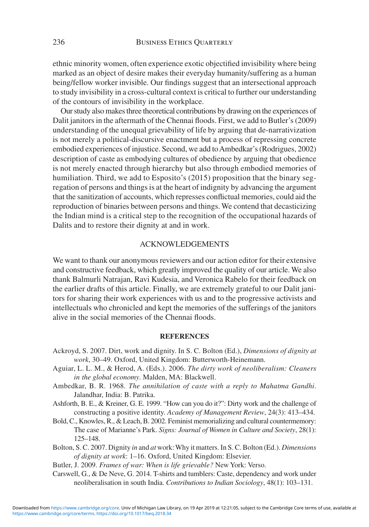ethnic minority women, often experience exotic objectified invisibility where being marked as an object of desire makes their everyday humanity/suffering as a human being/fellow worker invisible. Our findings suggest that an intersectional approach to study invisibility in a cross-cultural context is critical to further our understanding of the contours of invisibility in the workplace.

Our study also makes three theoretical contributions by drawing on the experiences of Dalit janitors in the aftermath of the Chennai floods. First, we add to Butler's (2009) understanding of the unequal grievability of life by arguing that de-narrativization is not merely a political-discursive enactment but a process of repressing concrete embodied experiences of injustice. Second, we add to Ambedkar's (Rodrigues, 2002) description of caste as embodying cultures of obedience by arguing that obedience is not merely enacted through hierarchy but also through embodied memories of humiliation. Third, we add to Esposito's (2015) proposition that the binary segregation of persons and things is at the heart of indignity by advancing the argument that the sanitization of accounts, which represses conflictual memories, could aid the reproduction of binaries between persons and things. We contend that decasticizing the Indian mind is a critical step to the recognition of the occupational hazards of Dalits and to restore their dignity at and in work.

#### ACKNOWLEDGEMENTS

We want to thank our anonymous reviewers and our action editor for their extensive and constructive feedback, which greatly improved the quality of our article. We also thank Balmurli Natrajan, Ravi Kudesia, and Veronica Rabelo for their feedback on the earlier drafts of this article. Finally, we are extremely grateful to our Dalit janitors for sharing their work experiences with us and to the progressive activists and intellectuals who chronicled and kept the memories of the sufferings of the janitors alive in the social memories of the Chennai floods.

## **REFERENCES**

- Ackroyd, S. 2007. Dirt, work and dignity. In S. C. Bolton (Ed.), *Dimensions of dignity at work*, 30–49. Oxford, United Kingdom: Butterworth-Heinemann.
- Aguiar, L. L. M., & Herod, A. (Eds.). 2006. *The dirty work of neoliberalism: Cleaners in the global economy*. Malden, MA: Blackwell.
- Ambedkar, B. R. 1968. *The annihilation of caste with a reply to Mahatma Gandhi*. Jalandhar, India: B. Patrika.

Ashforth, B. E., & Kreiner, G. E. 1999. "How can you do it?": Dirty work and the challenge of constructing a positive identity. *Academy of Management Review*, 24(3): 413–434.

- Bold, C., Knowles, R., & Leach, B. 2002. Feminist memorializing and cultural countermemory: The case of Marianne's Park. *Signs: Journal of Women in Culture and Society*, 28(1): 125–148.
- Bolton, S. C. 2007. Dignity *in* and *at* work: Why it matters. In S. C. Bolton (Ed.). *Dimensions of dignity at work*: 1–16. Oxford, United Kingdom: Elsevier.

Butler, J. 2009. *Frames of war: When is life grievable?* New York: Verso.

Carswell, G., & De Neve, G. 2014. T-shirts and tumblers: Caste, dependency and work under neoliberalisation in south India. *Contributions to Indian Sociology*, 48(1): 103–131.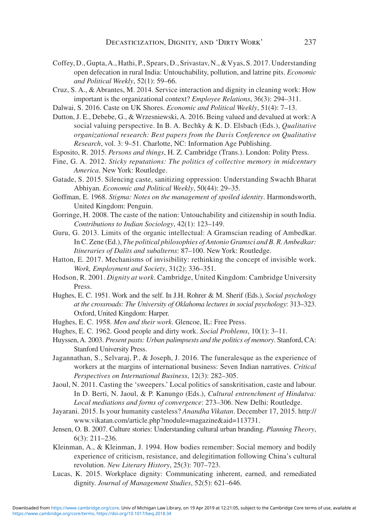- Coffey, D., Gupta, A., Hathi, P., Spears, D., Srivastav, N., & Vyas, S. 2017. Understanding open defecation in rural India: Untouchability, pollution, and latrine pits. *Economic and Political Weekly*, 52(1): 59–66.
- Cruz, S. A., & Abrantes, M. 2014. Service interaction and dignity in cleaning work: How important is the organizational context? *Employee Relations*, 36(3): 294–311.
- Dalwai, S. 2016. Caste on UK Shores. *Economic and Political Weekly*, 51(4): 7–13.
- Dutton, J. E., Debebe, G., & Wrzesniewski, A. 2016. Being valued and devalued at work: A social valuing perspective. In B. A. Bechky & K. D. Elsbach (Eds.), *Qualitative organizational research: Best papers from the Davis Conference on Qualitative Research*, vol. 3: 9–51. Charlotte, NC: Information Age Publishing.
- Esposito, R. 2015. *Persons and things*, H. Z. Cambridge (Trans.). London: Polity Press.
- Fine, G. A. 2012. *Sticky reputations: The politics of collective memory in midcentury America*. New York: Routledge.

Gatade, S. 2015. Silencing caste, sanitizing oppression: Understanding Swachh Bharat Abhiyan. *Economic and Political Weekly*, 50(44): 29–35.

- Goffman, E. 1968. *Stigma: Notes on the management of spoiled identity*. Harmondsworth, United Kingdom: Penguin.
- Gorringe, H. 2008. The caste of the nation: Untouchability and citizenship in south India. *Contributions to Indian Sociology*, 42(1): 123–149.
- Guru, G. 2013. Limits of the organic intellectual: A Gramscian reading of Ambedkar. In C. Zene (Ed.), *The political philosophies of Antonio Gramsci and B. R. Ambedkar: Itineraries of Dalits and subalterns*: 87–100. New York: Routledge.
- Hatton, E. 2017. Mechanisms of invisibility: rethinking the concept of invisible work. *Work, Employment and Society*, 31(2): 336–351.
- Hodson, R. 2001. *Dignity at work*. Cambridge, United Kingdom: Cambridge University Press.
- Hughes, E. C. 1951. Work and the self. In J.H. Rohrer & M. Sherif (Eds.), *Social psychology at the crossroads: The University of Oklahoma lectures in social psychology*: 313–323. Oxford, United Kingdom: Harper.
- Hughes, E. C. 1958. *Men and their work*. Glencoe, IL: Free Press.
- Hughes, E. C. 1962. Good people and dirty work. *Social Problems*, 10(1): 3–11.
- Huyssen, A. 2003. *Present pasts: Urban palimpsests and the politics of memory*. Stanford, CA: Stanford University Press.
- Jagannathan, S., Selvaraj, P., & Joseph, J. 2016. The funeralesque as the experience of workers at the margins of international business: Seven Indian narratives. *Critical Perspectives on International Business*, 12(3): 282–305.
- Jaoul, N. 2011. Casting the 'sweepers.' Local politics of sanskritisation, caste and labour. In D. Berti, N. Jaoul, & P. Kanungo (Eds.), *Cultural entrenchment of Hindutva: Local mediations and forms of convergence*: 273–306. New Delhi: Routledge.
- Jayarani. 2015. Is your humanity casteless? *Anandha Vikatan*. December 17, 2015. [http://](http://www.vikatan.com/article.php?module=magazine&aid=113731) [www.vikatan.com/article.php?module=magazine&aid=113731.](http://www.vikatan.com/article.php?module=magazine&aid=113731)
- Jensen, O. B. 2007. Culture stories: Understanding cultural urban branding. *Planning Theory*, 6(3): 211–236.
- Kleinman, A., & Kleinman, J. 1994. How bodies remember: Social memory and bodily experience of criticism, resistance, and delegitimation following China's cultural revolution. *New Literary History*, 25(3): 707–723.
- Lucas, K. 2015. Workplace dignity: Communicating inherent, earned, and remediated dignity. *Journal of Management Studies*, 52(5): 621–646.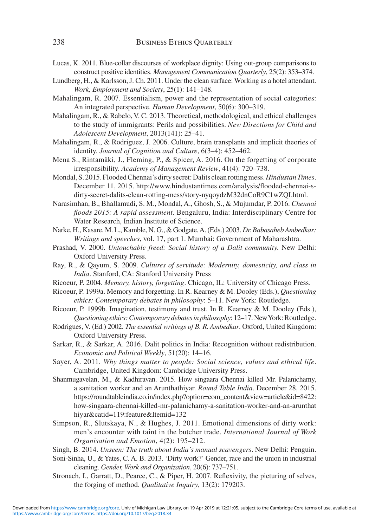- Lucas, K. 2011. Blue-collar discourses of workplace dignity: Using out-group comparisons to construct positive identities. *Management Communication Quarterly*, 25(2): 353–374.
- Lundberg, H., & Karlsson, J. Ch. 2011. Under the clean surface: Working as a hotel attendant. *Work, Employment and Society*, 25(1): 141–148.
- Mahalingam, R. 2007. Essentialism, power and the representation of social categories: An integrated perspective. *Human Development*, 50(6): 300–319.
- Mahalingam, R., & Rabelo, V. C. 2013. Theoretical, methodological, and ethical challenges to the study of immigrants: Perils and possibilities. *New Directions for Child and Adolescent Development*, 2013(141): 25–41.
- Mahalingam, R., & Rodriguez, J. 2006. Culture, brain transplants and implicit theories of identity. *Journal of Cognition and Culture*, 6(3–4): 452–462.
- Mena S., Rintamäki, J., Fleming, P., & Spicer, A. 2016. On the forgetting of corporate irresponsibility. *Academy of Management Review*, 41(4): 720–738.
- Mondal, S. 2015. Flooded Chennai's dirty secret: Dalits clean rotting mess. *Hindustan Times*. December 11, 2015. [http://www.hindustantimes.com/analysis/flooded-chennai-s](http://www.hindustantimes.com/analysis/flooded-chennai-s-dirty-secret-dalits-clean-rotting-mess/story-nyqoydzM32dnCoR9C1wZQI.html)[dirty-secret-dalits-clean-rotting-mess/story-nyqoydzM32dnCoR9C1wZQI.html](http://www.hindustantimes.com/analysis/flooded-chennai-s-dirty-secret-dalits-clean-rotting-mess/story-nyqoydzM32dnCoR9C1wZQI.html).
- Narasimhan, B., Bhallamudi, S. M., Mondal, A., Ghosh, S., & Mujumdar, P. 2016. *Chennai floods 2015: A rapid assessment*. Bengaluru, India: Interdisciplinary Centre for Water Research, Indian Institute of Science.
- Narke, H., Kasare, M. L., Kamble, N. G., & Godgate, A. (Eds.) 2003. *Dr. Babasaheb Ambedkar: Writings and speeches*, vol. 17, part 1. Mumbai: Government of Maharashtra.
- Prashad, V. 2000. *Untouchable freed: Social history of a Dalit community.* New Delhi: Oxford University Press.
- Ray, R., & Qayum, S. 2009. *Cultures of servitude: Modernity, domesticity, and class in India*. Stanford, CA: Stanford University Press
- Ricoeur, P. 2004. *Memory, history, forgetting*. Chicago, IL: University of Chicago Press.
- Ricoeur, P. 1999a. Memory and forgetting. In R. Kearney & M. Dooley (Eds.), *Questioning ethics: Contemporary debates in philosophy*: 5–11. New York: Routledge.
- Ricoeur, P. 1999b. Imagination, testimony and trust. In R. Kearney & M. Dooley (Eds.), *Questioning ethics: Contemporary debates in philosophy*: 12–17. New York: Routledge.
- Rodrigues, V. (Ed.) 2002. *The essential writings of B. R. Ambedkar*. Oxford, United Kingdom: Oxford University Press.
- Sarkar, R., & Sarkar, A. 2016. Dalit politics in India: Recognition without redistribution. *Economic and Political Weekly*, 51(20): 14–16.
- Sayer, A. 2011. *Why things matter to people: Social science, values and ethical life*. Cambridge, United Kingdom: Cambridge University Press.
- Shanmugavelan, M., & Kadhiravan. 2015. How singaara Chennai killed Mr. Palanichamy, a sanitation worker and an Arunthathiyar. *Round Table India*. December 28, 2015. [https://roundtableindia.co.in/index.php?option=com\\_content&view=article&id=8422:](https://roundtableindia.co.in/index.php?option=com_content&view=article&id=8422:how-singaara-chennai-killed-mr-palanichamy-a-sanitation-worker-and-an-arunthathiyar&catid=119:feature&Itemid=132) [how-singaara-chennai-killed-mr-palanichamy-a-sanitation-worker-and-an-arunthat](https://roundtableindia.co.in/index.php?option=com_content&view=article&id=8422:how-singaara-chennai-killed-mr-palanichamy-a-sanitation-worker-and-an-arunthathiyar&catid=119:feature&Itemid=132) [hiyar&catid=119:feature&Itemid=132](https://roundtableindia.co.in/index.php?option=com_content&view=article&id=8422:how-singaara-chennai-killed-mr-palanichamy-a-sanitation-worker-and-an-arunthathiyar&catid=119:feature&Itemid=132)
- Simpson, R., Slutskaya, N., & Hughes, J. 2011. Emotional dimensions of dirty work: men's encounter with taint in the butcher trade. *International Journal of Work Organisation and Emotion*, 4(2): 195–212.
- Singh, B. 2014. *Unseen: The truth about India's manual scavengers*. New Delhi: Penguin.
- Soni-Sinha, U., & Yates, C. A. B. 2013. 'Dirty work?' Gender, race and the union in industrial cleaning. *Gender, Work and Organization*, 20(6): 737–751.
- Stronach, I., Garratt, D., Pearce, C., & Piper, H. 2007. Reflexivity, the picturing of selves, the forging of method. *Qualitative Inquiry*, 13(2): 179203.